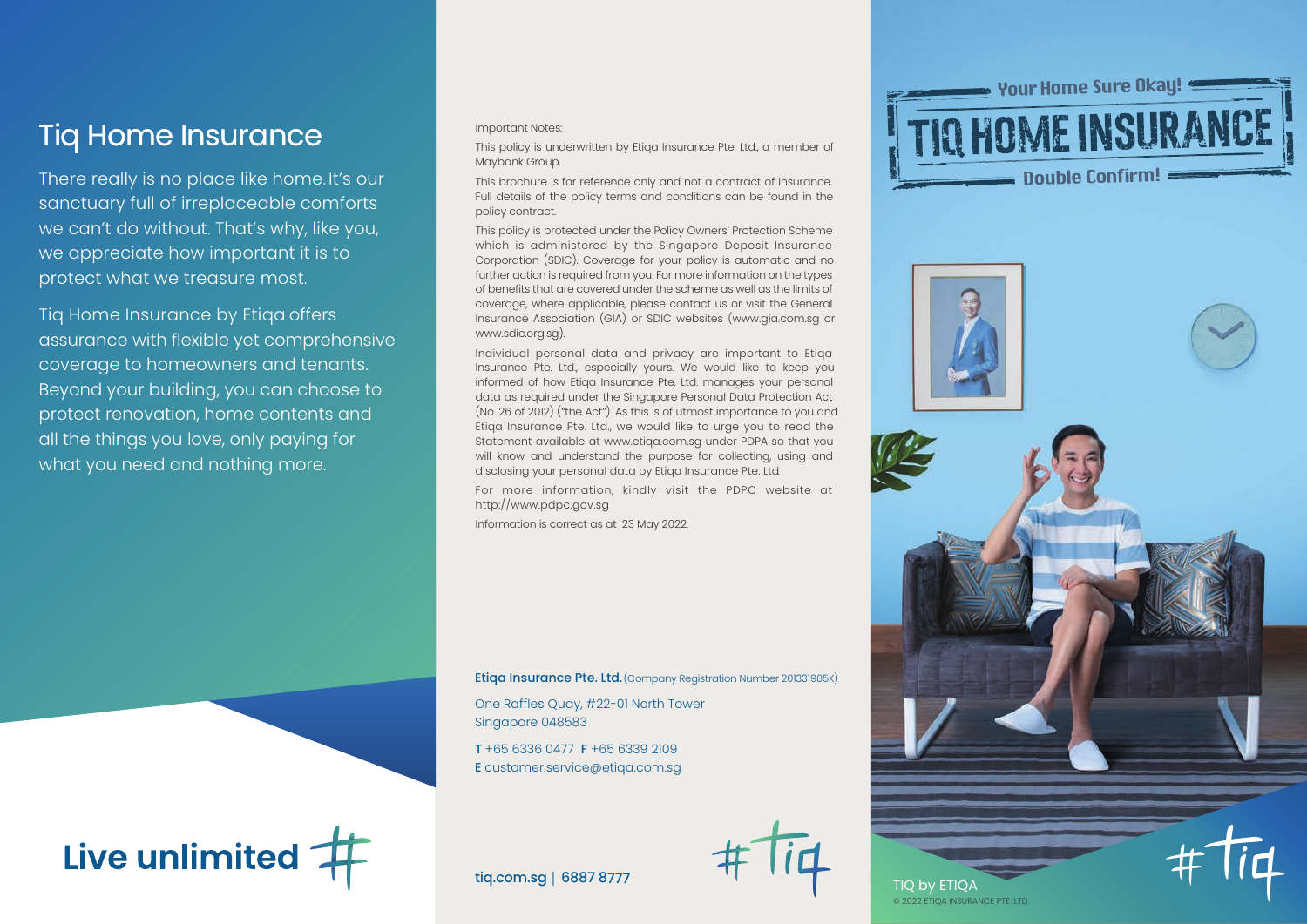Tiq Home Insurance

There really is no place like home. It's our sanctuary full of irreplaceable comforts we can't do without. That's why, like you, we appreciate how important it is to protect what we treasure most.

Tiq Home Insurance by Etiqa offers assurance with flexible yet comprehensive coverage to homeowners and tenants. Beyond your building, you can choose to protect renovation, home contents and all the things you love, only paying for what you need and nothing more.

Important Notes:

This policy is underwritten by Etiqa Insurance Pte. Ltd., a member of Maybank Group.

This brochure is for reference only and not a contract of insurance. Full details of the policy terms and conditions can be found in the policy contract.

This policy is protected under the Policy Owners' Protection Scheme which is administered by the Singapore Deposit Insurance Corporation (SDIC). Coverage for your policy is automatic and no further action is required from you. For more information on the types of benefits that are covered under the scheme as well as the limits of coverage, where applicable, please contact us or visit the General Insurance Association (GIA) or SDIC websites (www.gia.com.sg or www.sdic.org.sg).

Individual personal data and privacy are important to Etiqa Insurance Pte. Ltd., especially yours. We would like to keep you informed of how Etiqa Insurance Pte. Ltd. manages your personal data as required under the Singapore Personal Data Protection Act (No. 26 of 2012) ("the Act"). As this is of utmost importance to you and Etiqa Insurance Pte. Ltd., we would like to urge you to read the Statement available at www.etiqa.com.sg under PDPA so that you will know and understand the purpose for collecting, using and disclosing your personal data by Etiqa Insurance Pte. Ltd.

For more information, kindly visit the PDPC website at http://www.pdpc.gov.sg

Information is correct as at 23 May 2022.

Etiga Insurance Pte. Ltd. (Company Registration Number 201331905K)

One Raffles Quay, #22-01 North Tower Singapore 048583

T +65 6336 0477 F +65 6339 2109 E customer.service@etiqa.com.sg







tiq.com.sg | 6887 8777



TIQ by ETIQA © 2022 ETIQA INSURANCE PTE. LTD.